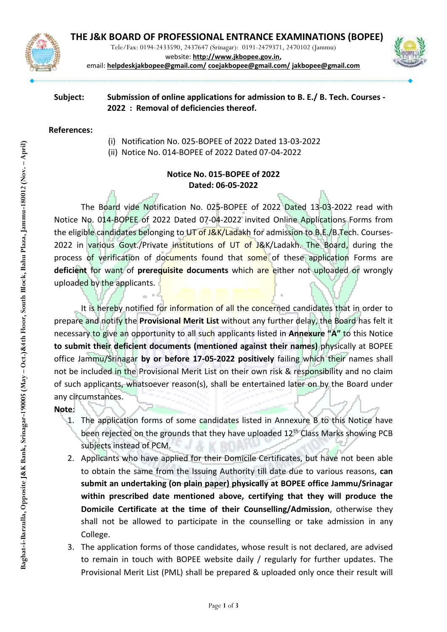

Tele/Fax: 0194-2433590, 2437647 (Srinagar): 0191-2479371, 2470102 (Jammu)



website: **[http://www.jkbopee.gov.in,](http://www.jkbopee.gov.in/)**  email: **[helpdeskjakbopee@gmail.com/](mailto:helpdeskjakbopee@gmail.com/) [coejakbopee@gmail.com/](mailto:coejakbopee@gmail.com/) [jakbopee@gmail.com](mailto:jakbopee@gmail.com)**

# **Subject: Submission of online applications for [admission to B.](https://jkbopee.gov.in/Pdf/Downloader.ashx?nid=13071&type=n) E./ B. Tech. Courses - [2022](https://jkbopee.gov.in/Pdf/Downloader.ashx?nid=13071&type=n) : Removal of deficiencies thereof.**

### **References:**

(i) Notification No. 025-BOPEE of 2022 Dated 13-03-2022

(ii) Notice No. 014-BOPEE of 2022 Dated 07-04-2022

# **Notice No. 015-BOPEE of 2022 Dated: 06-05-2022**

The Board vide Notification No. 025-BOPEE of 2022 Dated 13-03-2022 read with Notice No. 014-BOPEE of 2022 Dated 07-04-2022 invited Online Applications Forms from the eligible candidates belonging to UT of J&K/Ladakh for admission to B.E./B.Tech. Courses-2022 in various Govt./Private institutions of UT of J&K/Ladakh. The Board, during the process of verification of documents found that some of these application Forms are **deficient** for want of **prerequisite documents** which are either not uploaded or wrongly uploaded by the applicants.

It is hereby notified for information of all the concerned candidates that in order to prepare and notify the **Provisional Merit List** without any further delay, the Board has felt it necessary to give an opportunity to all such applicants listed in **Annexure "A"** to this Notice **to submit their deficient documents (mentioned against their names)** physically at BOPEE office Jammu/Srinagar **by or before 17-05-2022 positively** failing which their names shall not be included in the Provisional Merit List on their own risk & responsibility and no claim of such applicants, whatsoever reason(s), shall be entertained later on by the Board under any circumstances.

## **Note**:

- 1. The application forms of some candidates listed in Annexure B to this Notice have been rejected on the grounds that they have uploaded 12<sup>th</sup> Class Marks showing PCB subjects instead of PCM.
- 2. Applicants who have applied for their Domicile Certificates, but have not been able to obtain the same from the Issuing Authority till date due to various reasons, **can submit an undertaking (on plain paper) physically at BOPEE office Jammu/Srinagar within prescribed date mentioned above, certifying that they will produce the Domicile Certificate at the time of their Counselling/Admission**, otherwise they shall not be allowed to participate in the counselling or take admission in any College.
- 3. The application forms of those candidates, whose result is not declared, are advised to remain in touch with BOPEE website daily / regularly for further updates. The Provisional Merit List (PML) shall be prepared & uploaded only once their result will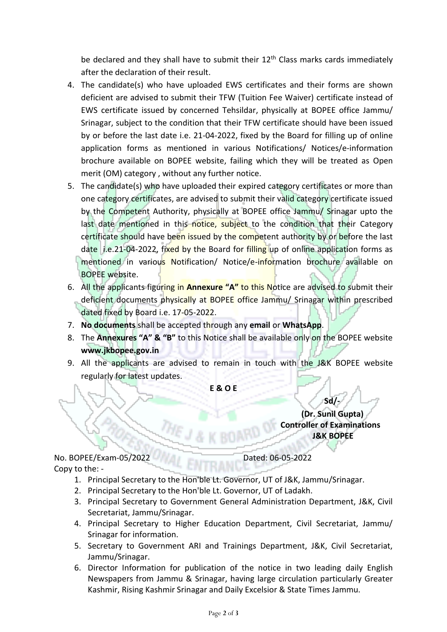be declared and they shall have to submit their  $12<sup>th</sup>$  Class marks cards immediately after the declaration of their result.

- 4. The candidate(s) who have uploaded EWS certificates and their forms are shown deficient are advised to submit their TFW (Tuition Fee Waiver) certificate instead of EWS certificate issued by concerned Tehsildar, physically at BOPEE office Jammu/ Srinagar, subject to the condition that their TFW certificate should have been issued by or before the last date i.e. 21-04-2022, fixed by the Board for filling up of online application forms as mentioned in various Notifications/ Notices/e-information brochure available on BOPEE website, failing which they will be treated as Open merit (OM) category , without any further notice.
- 5. The candidate(s) who have uploaded their expired category certificates or more than one category certificates, are advised to submit their valid category certificate issued by the Competent Authority, physically at BOPEE office Jammu/ Srinagar upto the last date mentioned in this notice, subject to the condition that their Category certificate should have been issued by the competent authority by or before the last date i.e.21-04-2022, fixed by the Board for filling up of online application forms as mentioned in various Notification/ Notice/e-information brochure available on BOPEE website.
- 6. All the applicants figuring in **Annexure "A"** to this Notice are advised to submit their deficient documents physically at BOPEE office Jammu/ Srinagar within prescribed dated fixed by Board i.e. 17-05-2022.
- 7. **No documents** shall be accepted through any **email** or **WhatsApp**.
- 8. The **Annexures "A" & "B"** to this Notice shall be available only on the BOPEE website **www.jkbopee.gov.in**
- 9. All the applicants are advised to remain in touch with the J&K BOPEE website regularly for latest updates.

**E & O E**

**Sd/-**

 **(Dr. Sunil Gupta) Controller of Examinations J&K BOPEE**

No. BOPEE/Exam-05/2022 Dated: 06-05-2022 Copy to the: -

- 1. Principal Secretary to the Hon'ble Lt. Governor, UT of J&K, Jammu/Srinagar.
- 2. Principal Secretary to the Hon'ble Lt. Governor, UT of Ladakh.
- 3. Principal Secretary to Government General Administration Department, J&K, Civil Secretariat, Jammu/Srinagar.
- 4. Principal Secretary to Higher Education Department, Civil Secretariat, Jammu/ Srinagar for information.
- 5. Secretary to Government ARI and Trainings Department, J&K, Civil Secretariat, Jammu/Srinagar.
- 6. Director Information for publication of the notice in two leading daily English Newspapers from Jammu & Srinagar, having large circulation particularly Greater Kashmir, Rising Kashmir Srinagar and Daily Excelsior & State Times Jammu.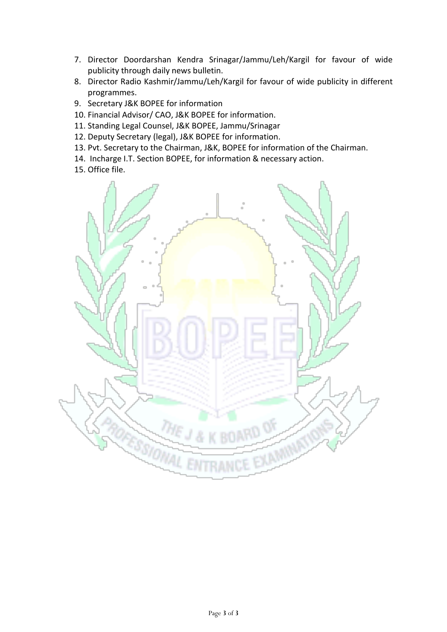- 7. Director Doordarshan Kendra Srinagar/Jammu/Leh/Kargil for favour of wide publicity through daily news bulletin.
- 8. Director Radio Kashmir/Jammu/Leh/Kargil for favour of wide publicity in different programmes.
- 9. Secretary J&K BOPEE for information
- 10. Financial Advisor/ CAO, J&K BOPEE for information.
- 11. Standing Legal Counsel, J&K BOPEE, Jammu/Srinagar
- 12. Deputy Secretary (legal), J&K BOPEE for information.
- 13. Pvt. Secretary to the Chairman, J&K, BOPEE for information of the Chairman.
- 14. Incharge I.T. Section BOPEE, for information & necessary action.
- 15. Office file.

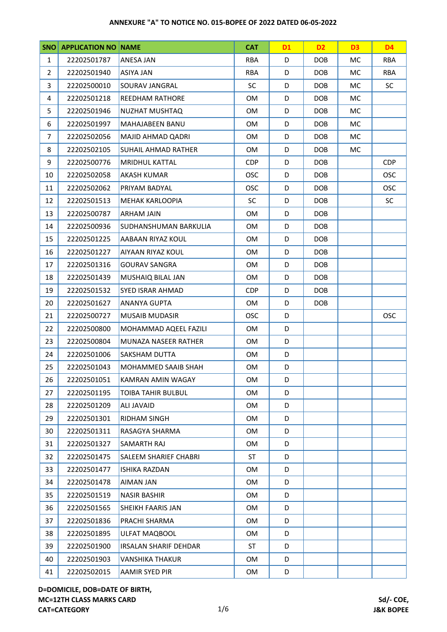| <b>SNO</b>     | <b>APPLICATION NO NAME</b> | <b>CAT</b>                               |            | <b>D1</b>  | D <sub>2</sub> | D <sub>3</sub> | <b>D4</b>  |
|----------------|----------------------------|------------------------------------------|------------|------------|----------------|----------------|------------|
| $\mathbf{1}$   | 22202501787                | ANESA JAN                                | <b>RBA</b> | D          | <b>DOB</b>     | МC             | <b>RBA</b> |
| $\overline{2}$ | 22202501940                | ASIYA JAN                                | <b>RBA</b> | D          | <b>DOB</b>     | МC             | <b>RBA</b> |
| 3              | 22202500010                | SOURAV JANGRAL                           | <b>SC</b>  | D          | <b>DOB</b>     | МC             | <b>SC</b>  |
| 4              | 22202501218                | <b>REEDHAM RATHORE</b>                   | OM         | D          | <b>DOB</b>     | MC.            |            |
| 5              | 22202501946                | NUZHAT MUSHTAQ                           | <b>OM</b>  | D          | <b>DOB</b>     | МC             |            |
| 6              | 22202501997                | MAHAJABEEN BANU                          | <b>OM</b>  | D          | <b>DOB</b>     | <b>MC</b>      |            |
| $\overline{7}$ | 22202502056                | MAJID AHMAD QADRI                        | OM         | D          | <b>DOB</b>     | MC             |            |
| 8              | 22202502105                | <b>SUHAIL AHMAD RATHER</b>               |            | D          | DOB            | МC             |            |
| 9              | 22202500776                | <b>MRIDHUL KATTAL</b>                    |            | D          | <b>DOB</b>     |                | <b>CDP</b> |
| 10             | 22202502058                | <b>AKASH KUMAR</b>                       | <b>OSC</b> | D          | <b>DOB</b>     |                | <b>OSC</b> |
| 11             | 22202502062                | PRIYAM BADYAL                            | <b>OSC</b> | D          | <b>DOB</b>     |                | <b>OSC</b> |
| 12             | 22202501513                | MEHAK KARLOOPIA                          | <b>SC</b>  | D          | <b>DOB</b>     |                | <b>SC</b>  |
| 13             | 22202500787                | <b>ARHAM JAIN</b>                        | OM         | D          | <b>DOB</b>     |                |            |
| 14             | 22202500936                | SUDHANSHUMAN BARKULIA                    | OM         | D          | <b>DOB</b>     |                |            |
| 15             | 22202501225                | AABAAN RIYAZ KOUL                        | <b>OM</b>  | D          | <b>DOB</b>     |                |            |
| 16             | 22202501227                | AIYAAN RIYAZ KOUL                        | OM         | D          | <b>DOB</b>     |                |            |
| 17             | 22202501316                | <b>GOURAV SANGRA</b>                     | OM         | D          | <b>DOB</b>     |                |            |
| 18             | 22202501439                | MUSHAIQ BILAL JAN<br>OM<br>D             |            | <b>DOB</b> |                |                |            |
| 19             | 22202501532                | SYED ISRAR AHMAD                         |            | D          | <b>DOB</b>     |                |            |
| 20             | 22202501627                | <b>ANANYA GUPTA</b>                      | OM         | D          | <b>DOB</b>     |                |            |
| 21             | 22202500727                | <b>OSC</b><br><b>MUSAIB MUDASIR</b><br>D |            |            |                | <b>OSC</b>     |            |
| 22             | 22202500800                | MOHAMMAD AQEEL FAZILI<br>OM<br>D         |            |            |                |                |            |
| 23             | 22202500804                | MUNAZA NASEER RATHER<br>OM<br>D          |            |            |                |                |            |
| 24             | 22202501006                | SAKSHAM DUTTA                            | OM<br>D    |            |                |                |            |
| 25             | 22202501043                | MOHAMMED SAAIB SHAH                      | OM         | D          |                |                |            |
| 26             | 22202501051                | <b>KAMRAN AMIN WAGAY</b>                 | <b>OM</b>  | D          |                |                |            |
| 27             | 22202501195                | <b>TOIBA TAHIR BULBUL</b>                | OM         | D          |                |                |            |
| 28             | 22202501209                | ALI JAVAID                               | OM         | D          |                |                |            |
| 29             | 22202501301                | RIDHAM SINGH                             | OM         | D          |                |                |            |
| 30             | 22202501311                | RASAGYA SHARMA                           | OM         | D          |                |                |            |
| 31             | 22202501327                | SAMARTH RAJ                              | OM         | D          |                |                |            |
| 32             | 22202501475                | SALEEM SHARIEF CHABRI                    | <b>ST</b>  | D          |                |                |            |
| 33             | 22202501477                | <b>ISHIKA RAZDAN</b>                     | OM         | D          |                |                |            |
| 34             | 22202501478                | AIMAN JAN<br>OM                          |            | D          |                |                |            |
| 35             | 22202501519                | <b>NASIR BASHIR</b>                      | OM         | D          |                |                |            |
| 36             | 22202501565                | SHEIKH FAARIS JAN                        | OM         | D          |                |                |            |
| 37             | 22202501836                | PRACHI SHARMA                            | OM         | D          |                |                |            |
| 38             | 22202501895                | ULFAT MAQBOOL                            | OM         | D          |                |                |            |
| 39             | 22202501900                | IRSALAN SHARIF DEHDAR                    | <b>ST</b>  | D          |                |                |            |
| 40             | 22202501903                | <b>VANSHIKA THAKUR</b>                   | OM         | D          |                |                |            |
| 41             | 22202502015                | AAMIR SYED PIR                           | OM         | D          |                |                |            |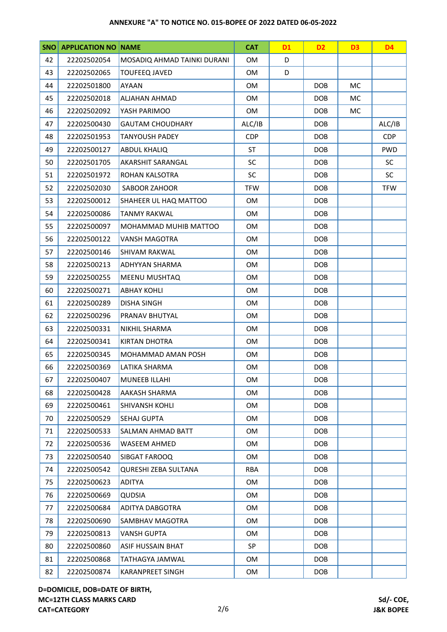| SNO |             | <b>APPLICATION NO NAME</b>               |            | <b>D1</b>  | D <sub>2</sub> | D <sub>3</sub> | <b>D4</b>  |
|-----|-------------|------------------------------------------|------------|------------|----------------|----------------|------------|
| 42  | 22202502054 | MOSADIQ AHMAD TAINKI DURANI<br>0M<br>D   |            |            |                |                |            |
| 43  | 22202502065 | <b>TOUFEEQ JAVED</b>                     | 0M         | D          |                |                |            |
| 44  | 22202501800 | AYAAN                                    | 0M         |            | <b>DOB</b>     | МC             |            |
| 45  | 22202502018 | ALJAHAN AHMAD                            | 0M         |            | <b>DOB</b>     | MC.            |            |
| 46  | 22202502092 | YASH PARIMOO                             | <b>OM</b>  |            | <b>DOB</b>     | МC             |            |
| 47  | 22202500430 | <b>GAUTAM CHOUDHARY</b>                  | ALC/IB     |            | <b>DOB</b>     |                | ALC/IB     |
| 48  | 22202501953 | <b>TANYOUSH PADEY</b>                    | <b>CDP</b> |            | <b>DOB</b>     |                | <b>CDP</b> |
| 49  | 22202500127 | <b>ABDUL KHALIQ</b>                      | <b>ST</b>  |            | <b>DOB</b>     |                | <b>PWD</b> |
| 50  | 22202501705 | AKARSHIT SARANGAL                        | <b>SC</b>  |            | <b>DOB</b>     |                | <b>SC</b>  |
| 51  | 22202501972 | ROHAN KALSOTRA                           | <b>SC</b>  |            | <b>DOB</b>     |                | <b>SC</b>  |
| 52  | 22202502030 | SABOOR ZAHOOR                            | <b>TFW</b> |            | <b>DOB</b>     |                | <b>TFW</b> |
| 53  | 22202500012 | SHAHEER UL HAQ MATTOO                    | OM         |            | <b>DOB</b>     |                |            |
| 54  | 22202500086 | <b>TANMY RAKWAL</b>                      | 0M         |            | <b>DOB</b>     |                |            |
| 55  | 22202500097 | MOHAMMAD MUHIB MATTOO                    | 0M         |            | <b>DOB</b>     |                |            |
| 56  | 22202500122 | VANSH MAGOTRA                            | <b>OM</b>  |            | <b>DOB</b>     |                |            |
| 57  | 22202500146 | SHIVAM RAKWAL                            | 0M         |            | <b>DOB</b>     |                |            |
| 58  | 22202500213 | ADHYYAN SHARMA                           | 0M         |            | <b>DOB</b>     |                |            |
| 59  | 22202500255 | OM<br><b>DOB</b><br><b>MEENU MUSHTAQ</b> |            |            |                |                |            |
| 60  | 22202500271 | OM<br><b>ABHAY KOHLI</b>                 |            |            | <b>DOB</b>     |                |            |
| 61  | 22202500289 | <b>DISHA SINGH</b>                       |            |            | <b>DOB</b>     |                |            |
| 62  | 22202500296 | PRANAV BHUTYAL<br>0M                     |            | <b>DOB</b> |                |                |            |
| 63  | 22202500331 | NIKHIL SHARMA<br>0M                      |            |            | <b>DOB</b>     |                |            |
| 64  | 22202500341 | KIRTAN DHOTRA<br>0M                      |            |            | <b>DOB</b>     |                |            |
| 65  | 22202500345 | MOHAMMAD AMAN POSH                       | OM         |            | <b>DOB</b>     |                |            |
| 66  | 22202500369 | LATIKA SHARMA                            | 0M         | <b>DOB</b> |                |                |            |
| 67  | 22202500407 | MUNEEB ILLAHI                            | OM         |            | <b>DOB</b>     |                |            |
| 68  | 22202500428 | AAKASH SHARMA                            | 0M         |            | DOB            |                |            |
| 69  | 22202500461 | SHIVANSH KOHLI                           | OM         |            | <b>DOB</b>     |                |            |
| 70  | 22202500529 | SEHAJ GUPTA                              | 0M         |            | <b>DOB</b>     |                |            |
| 71  | 22202500533 | SALMAN AHMAD BATT                        | OM         |            | <b>DOB</b>     |                |            |
| 72  | 22202500536 | WASEEM AHMED                             | <b>OM</b>  |            | <b>DOB</b>     |                |            |
| 73  | 22202500540 | SIBGAT FAROOQ                            | <b>OM</b>  |            | <b>DOB</b>     |                |            |
| 74  | 22202500542 | QURESHI ZEBA SULTANA                     | <b>RBA</b> |            | <b>DOB</b>     |                |            |
| 75  | 22202500623 | <b>ADITYA</b>                            | <b>OM</b>  |            | <b>DOB</b>     |                |            |
| 76  | 22202500669 | <b>QUDSIA</b>                            | 0M         |            | DOB            |                |            |
| 77  | 22202500684 | ADITYA DABGOTRA                          | 0M         |            | <b>DOB</b>     |                |            |
| 78  | 22202500690 | SAMBHAV MAGOTRA                          | <b>OM</b>  |            | <b>DOB</b>     |                |            |
| 79  | 22202500813 | <b>VANSH GUPTA</b>                       | 0M         |            | DOB            |                |            |
| 80  | 22202500860 | ASIF HUSSAIN BHAT                        | SP         |            | <b>DOB</b>     |                |            |
| 81  | 22202500868 | TATHAGYA JAMWAL                          | OM         |            | <b>DOB</b>     |                |            |
| 82  | 22202500874 | KARANPREET SINGH                         | OM         |            | <b>DOB</b>     |                |            |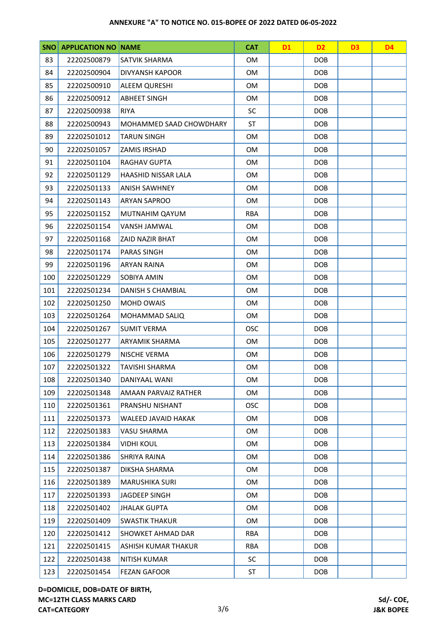| <b>SNO</b> | <b>APPLICATION NO NAME</b> |                                        | <b>CAT</b> | <b>D1</b>  | D <sub>2</sub> | D <sub>3</sub> | D <sub>4</sub> |
|------------|----------------------------|----------------------------------------|------------|------------|----------------|----------------|----------------|
| 83         | 22202500879                | SATVIK SHARMA                          |            |            | <b>DOB</b>     |                |                |
| 84         | 22202500904                | DIVYANSH KAPOOR<br>0M                  |            |            | <b>DOB</b>     |                |                |
| 85         | 22202500910                | 0M<br><b>DOB</b><br>ALEEM QURESHI      |            |            |                |                |                |
| 86         | 22202500912                | <b>ABHEET SINGH</b>                    | 0M         |            | <b>DOB</b>     |                |                |
| 87         | 22202500938                | <b>RIYA</b>                            | <b>SC</b>  |            | <b>DOB</b>     |                |                |
| 88         | 22202500943                | MOHAMMED SAAD CHOWDHARY                | ST         |            | <b>DOB</b>     |                |                |
| 89         | 22202501012                | <b>TARUN SINGH</b><br>0M<br><b>DOB</b> |            |            |                |                |                |
| 90         | 22202501057                | ZAMIS IRSHAD                           | 0M         |            | <b>DOB</b>     |                |                |
| 91         | 22202501104                | RAGHAV GUPTA                           | <b>OM</b>  |            | <b>DOB</b>     |                |                |
| 92         | 22202501129                | HAASHID NISSAR LALA                    | 0M         |            | <b>DOB</b>     |                |                |
| 93         | 22202501133                | <b>ANISH SAWHNEY</b>                   | <b>OM</b>  |            | <b>DOB</b>     |                |                |
| 94         | 22202501143                | <b>ARYAN SAPROO</b>                    | <b>OM</b>  |            | <b>DOB</b>     |                |                |
| 95         | 22202501152                | MUTNAHIM QAYUM                         | <b>RBA</b> |            | <b>DOB</b>     |                |                |
| 96         | 22202501154                | <b>VANSH JAMWAL</b>                    | 0M         |            | <b>DOB</b>     |                |                |
| 97         | 22202501168                | ZAID NAZIR BHAT                        | <b>OM</b>  |            | <b>DOB</b>     |                |                |
| 98         | 22202501174                | <b>PARAS SINGH</b>                     | 0M         |            | <b>DOB</b>     |                |                |
| 99         | 22202501196                | <b>ARYAN RAINA</b>                     | <b>OM</b>  |            | <b>DOB</b>     |                |                |
| 100        | 22202501229                | <b>SOBIYA AMIN</b>                     | <b>OM</b>  |            | <b>DOB</b>     |                |                |
| 101        | 22202501234                | 0M<br><b>DOB</b><br>DANISH S CHAMBIAL  |            |            |                |                |                |
| 102        | 22202501250                | <b>MOHD OWAIS</b>                      |            |            | <b>DOB</b>     |                |                |
| 103        | 22202501264                | MOHAMMAD SALIQ<br><b>OM</b>            |            | <b>DOB</b> |                |                |                |
| 104        | 22202501267                | <b>OSC</b><br><b>SUMIT VERMA</b>       |            |            | <b>DOB</b>     |                |                |
| 105        | 22202501277                | ARYAMIK SHARMA<br>0M<br><b>DOB</b>     |            |            |                |                |                |
| 106        | 22202501279                | OM<br><b>DOB</b><br>NISCHE VERMA       |            |            |                |                |                |
| 107        | 22202501322                | <b>TAVISHI SHARMA</b>                  | <b>OM</b>  |            | <b>DOB</b>     |                |                |
| 108        | 22202501340                | DANIYAAL WANI                          | 0M         |            | <b>DOB</b>     |                |                |
| 109        | 22202501348                | AMAAN PARVAIZ RATHER                   | <b>OM</b>  |            | <b>DOB</b>     |                |                |
| 110        | 22202501361                | PRANSHU NISHANT                        | <b>OSC</b> |            | <b>DOB</b>     |                |                |
| 111        | 22202501373                | WALEED JAVAID HAKAK                    | <b>OM</b>  |            | <b>DOB</b>     |                |                |
| 112        | 22202501383                | VASU SHARMA                            | <b>OM</b>  |            | <b>DOB</b>     |                |                |
| 113        | 22202501384                | <b>VIDHI KOUL</b>                      | <b>OM</b>  |            | DOB            |                |                |
| 114        | 22202501386                | SHRIYA RAINA                           | OM         |            | <b>DOB</b>     |                |                |
| 115        | 22202501387                | DIKSHA SHARMA                          | <b>OM</b>  |            | <b>DOB</b>     |                |                |
| 116        | 22202501389                | <b>MARUSHIKA SURI</b>                  | <b>OM</b>  |            | <b>DOB</b>     |                |                |
| 117        | 22202501393                | JAGDEEP SINGH                          | <b>OM</b>  |            | <b>DOB</b>     |                |                |
| 118        | 22202501402                | <b>JHALAK GUPTA</b>                    | <b>OM</b>  |            | <b>DOB</b>     |                |                |
| 119        | 22202501409                | <b>SWASTIK THAKUR</b>                  | <b>OM</b>  |            | <b>DOB</b>     |                |                |
| 120        | 22202501412                | SHOWKET AHMAD DAR                      | <b>RBA</b> |            | <b>DOB</b>     |                |                |
| 121        | 22202501415                | ASHISH KUMAR THAKUR                    | <b>RBA</b> |            | <b>DOB</b>     |                |                |
| 122        | 22202501438                | NITISH KUMAR                           | <b>SC</b>  |            | <b>DOB</b>     |                |                |
| 123        | 22202501454                | <b>FEZAN GAFOOR</b>                    | <b>ST</b>  |            | <b>DOB</b>     |                |                |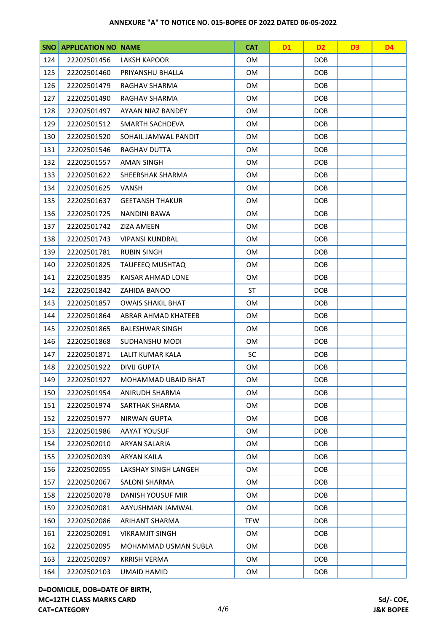| SNO | <b>APPLICATION NO NAME</b> |                                             | <b>CAT</b>       | <b>D1</b>  | D <sub>2</sub> | D <sub>3</sub> | <b>D4</b> |
|-----|----------------------------|---------------------------------------------|------------------|------------|----------------|----------------|-----------|
| 124 | 22202501456                | <b>LAKSH KAPOOR</b><br>OM                   |                  |            | <b>DOB</b>     |                |           |
| 125 | 22202501460                | PRIYANSHU BHALLA                            | <b>OM</b>        |            | <b>DOB</b>     |                |           |
| 126 | 22202501479                | RAGHAV SHARMA<br>OM                         |                  | <b>DOB</b> |                |                |           |
| 127 | 22202501490                | RAGHAV SHARMA                               | OM               |            | <b>DOB</b>     |                |           |
| 128 | 22202501497                | AYAAN NIAZ BANDEY                           | <b>OM</b>        |            | <b>DOB</b>     |                |           |
| 129 | 22202501512                | SMARTH SACHDEVA                             | OM               |            | <b>DOB</b>     |                |           |
| 130 | 22202501520                | SOHAIL JAMWAL PANDIT                        | OM               |            | <b>DOB</b>     |                |           |
| 131 | 22202501546                | <b>RAGHAV DUTTA</b>                         | <b>OM</b>        |            | <b>DOB</b>     |                |           |
| 132 | 22202501557                | <b>AMAN SINGH</b>                           | OM               |            | <b>DOB</b>     |                |           |
| 133 | 22202501622                | SHEERSHAK SHARMA                            | OM               |            | <b>DOB</b>     |                |           |
| 134 | 22202501625                | <b>VANSH</b>                                | <b>OM</b>        |            | <b>DOB</b>     |                |           |
| 135 | 22202501637                | <b>GEETANSH THAKUR</b>                      | OM               |            | <b>DOB</b>     |                |           |
| 136 | 22202501725                | <b>NANDINI BAWA</b>                         | <b>OM</b>        |            | <b>DOB</b>     |                |           |
| 137 | 22202501742                | ZIZA AMEEN                                  | OM               |            | <b>DOB</b>     |                |           |
| 138 | 22202501743                | VIPANSI KUNDRAL                             | OM               |            | <b>DOB</b>     |                |           |
| 139 | 22202501781                | <b>RUBIN SINGH</b>                          | OM               |            | <b>DOB</b>     |                |           |
| 140 | 22202501825                | TAUFEEQ MUSHTAQ                             | OM               |            | <b>DOB</b>     |                |           |
| 141 | 22202501835                | KAISAR AHMAD LONE                           | <b>DOB</b><br>OM |            |                |                |           |
| 142 | 22202501842                | <b>ST</b><br>ZAHIDA BANOO                   |                  | <b>DOB</b> |                |                |           |
| 143 | 22202501857                | <b>OWAIS SHAKIL BHAT</b>                    |                  |            | <b>DOB</b>     |                |           |
| 144 | 22202501864                | OM<br>ABRAR AHMAD KHATEEB                   |                  | <b>DOB</b> |                |                |           |
| 145 | 22202501865                | <b>BALESHWAR SINGH</b><br>OM                |                  | <b>DOB</b> |                |                |           |
| 146 | 22202501868                | SUDHANSHU MODI<br>OM<br><b>DOB</b>          |                  |            |                |                |           |
| 147 | 22202501871                | <b>SC</b><br><b>DOB</b><br>LALIT KUMAR KALA |                  |            |                |                |           |
| 148 | 22202501922                | <b>DIVIJ GUPTA</b>                          | OM               |            | <b>DOB</b>     |                |           |
| 149 | 22202501927                | <b>MOHAMMAD UBAID BHAT</b>                  | OM               |            | <b>DOB</b>     |                |           |
| 150 | 22202501954                | ANIRUDH SHARMA                              | OM               |            | <b>DOB</b>     |                |           |
| 151 | 22202501974                | SARTHAK SHARMA                              | OM               |            | <b>DOB</b>     |                |           |
| 152 | 22202501977                | <b>NIRWAN GUPTA</b>                         | OM               |            | <b>DOB</b>     |                |           |
| 153 | 22202501986                | <b>AAYAT YOUSUF</b>                         | OM               |            | <b>DOB</b>     |                |           |
| 154 | 22202502010                | ARYAN SALARIA                               | OM               |            | <b>DOB</b>     |                |           |
| 155 | 22202502039                | ARYAN KAILA                                 | OM               |            | <b>DOB</b>     |                |           |
| 156 | 22202502055                | LAKSHAY SINGH LANGEH                        | <b>OM</b>        |            | DOB.           |                |           |
| 157 | 22202502067                | <b>SALONI SHARMA</b>                        | OM               |            | <b>DOB</b>     |                |           |
| 158 | 22202502078                | DANISH YOUSUF MIR                           | OM               |            | DOB            |                |           |
| 159 | 22202502081                | AAYUSHMAN JAMWAL                            | OM               |            | <b>DOB</b>     |                |           |
| 160 | 22202502086                | ARIHANT SHARMA                              | <b>TFW</b>       |            | <b>DOB</b>     |                |           |
| 161 | 22202502091                | <b>VIKRAMJIT SINGH</b>                      | OM               |            | DOB            |                |           |
| 162 | 22202502095                | MOHAMMAD USMAN SUBLA                        | OM               |            | <b>DOB</b>     |                |           |
| 163 | 22202502097                | <b>KRRISH VERMA</b>                         | OM               |            | <b>DOB</b>     |                |           |
| 164 | 22202502103                | UMAID HAMID                                 | OM               |            | <b>DOB</b>     |                |           |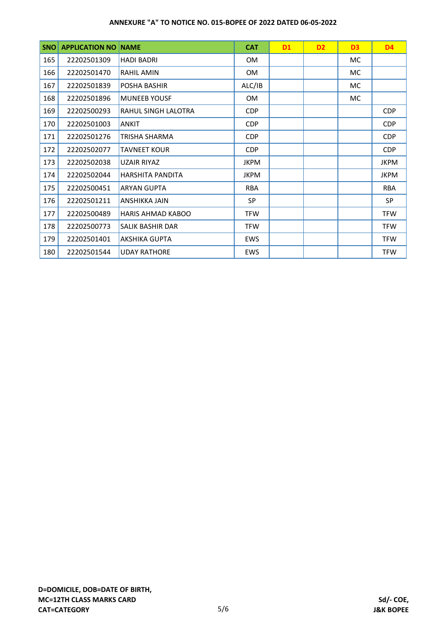| <b>SNO</b> | <b>APPLICATION NO</b> | <b>NAME</b>              | <b>CAT</b>  | <b>D1</b> | D <sub>2</sub> | D <sub>3</sub> | <b>D4</b>   |
|------------|-----------------------|--------------------------|-------------|-----------|----------------|----------------|-------------|
| 165        | 22202501309           | <b>HADI BADRI</b>        | 0M          |           |                | МC             |             |
| 166        | 22202501470           | <b>RAHIL AMIN</b>        | <b>OM</b>   |           |                | MC.            |             |
| 167        | 22202501839           | POSHA BASHIR             | ALC/IB      |           |                | МC             |             |
| 168        | 22202501896           | <b>MUNEEB YOUSF</b>      | <b>OM</b>   |           |                | MC.            |             |
| 169        | 22202500293           | RAHUL SINGH LALOTRA      | CDP         |           |                |                | <b>CDP</b>  |
| 170        | 22202501003           | <b>ANKIT</b>             | CDP         |           |                |                | <b>CDP</b>  |
| 171        | 22202501276           | TRISHA SHARMA            | <b>CDP</b>  |           |                |                | <b>CDP</b>  |
| 172        | 22202502077           | <b>TAVNEET KOUR</b>      | CDP         |           |                |                | <b>CDP</b>  |
| 173        | 22202502038           | <b>UZAIR RIYAZ</b>       | <b>JKPM</b> |           |                |                | <b>JKPM</b> |
| 174        | 22202502044           | HARSHITA PANDITA         | JKPM        |           |                |                | <b>JKPM</b> |
| 175        | 22202500451           | <b>ARYAN GUPTA</b>       | <b>RBA</b>  |           |                |                | <b>RBA</b>  |
| 176        | 22202501211           | ANSHIKKA JAIN            | SP          |           |                |                | SP          |
| 177        | 22202500489           | <b>HARIS AHMAD KABOO</b> | <b>TFW</b>  |           |                |                | <b>TFW</b>  |
| 178        | 22202500773           | SALIK BASHIR DAR         | <b>TFW</b>  |           |                |                | <b>TFW</b>  |
| 179        | 22202501401           | <b>AKSHIKA GUPTA</b>     | <b>EWS</b>  |           |                |                | <b>TFW</b>  |
| 180        | 22202501544           | <b>UDAY RATHORE</b>      | <b>EWS</b>  |           |                |                | <b>TFW</b>  |